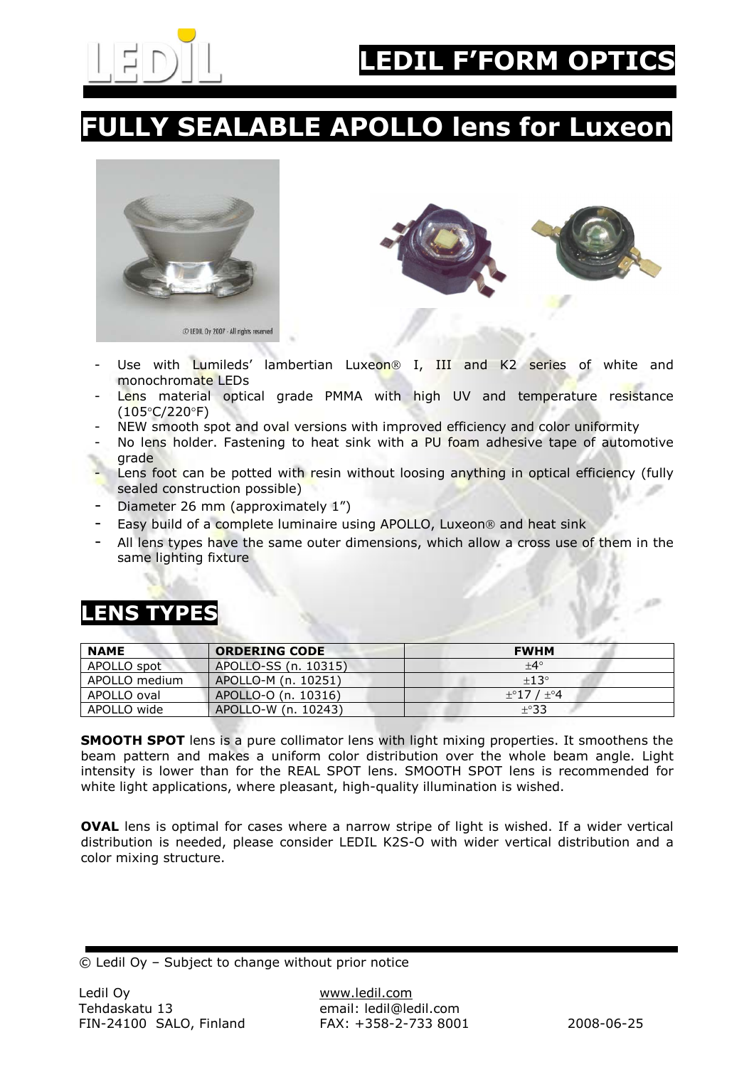

### LY SEALABLE APOLLO lens for Luxeon





- Use with Lumileds' lambertian Luxeon<sup>®</sup> I, III and K2 series of white and monochromate LEDs
- Lens material optical grade PMMA with high UV and temperature resistance (105°C/220°F)
- NEW smooth spot and oval versions with improved efficiency and color uniformity
- No lens holder. Fastening to heat sink with a PU foam adhesive tape of automotive grade
- Lens foot can be potted with resin without loosing anything in optical efficiency (fully sealed construction possible)
- Diameter 26 mm (approximately 1")
- Easy build of a complete luminaire using APOLLO, Luxeon<sup>®</sup> and heat sink
- All lens types have the same outer dimensions, which allow a cross use of them in the same lighting fixture

#### LENS TYPES

| <b>NAME</b>   | <b>ORDERING CODE</b> | <b>FWHM</b>          |
|---------------|----------------------|----------------------|
| APOLLO spot   | APOLLO-SS (n. 10315) | $+4^{\circ}$         |
| APOLLO medium | APOLLO-M (n. 10251)  | $\pm 13^{\circ}$     |
| APOLLO oval   | APOLLO-O (n. 10316)  | $\pm$ °17 / $\pm$ °4 |
| APOLLO wide   | APOLLO-W (n. 10243)  | ±°33                 |

SMOOTH SPOT lens is a pure collimator lens with light mixing properties. It smoothens the beam pattern and makes a uniform color distribution over the whole beam angle. Light intensity is lower than for the REAL SPOT lens. SMOOTH SPOT lens is recommended for white light applications, where pleasant, high-quality illumination is wished.

OVAL lens is optimal for cases where a narrow stripe of light is wished. If a wider vertical distribution is needed, please consider LEDIL K2S-O with wider vertical distribution and a color mixing structure.

<sup>©</sup> Ledil Oy – Subject to change without prior notice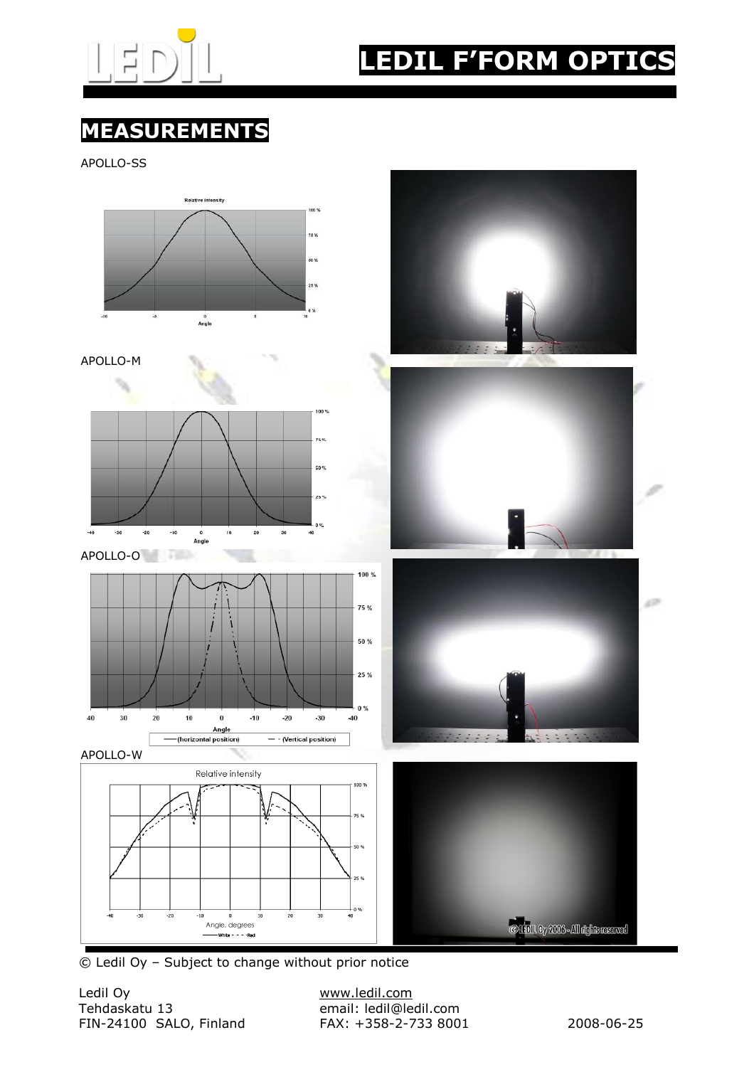

# LEDIL F'FORM OPTICS

### MEASUREMENTS

APOLLO-SS



© Ledil Oy – Subject to change without prior notice

Ledil Oy www.ledil.com FIN-24100 SALO, Finland FAX: +358-2-733 8001 2008-06-25

email: ledil@ledil.com<br>FAX: +358-2-733 8001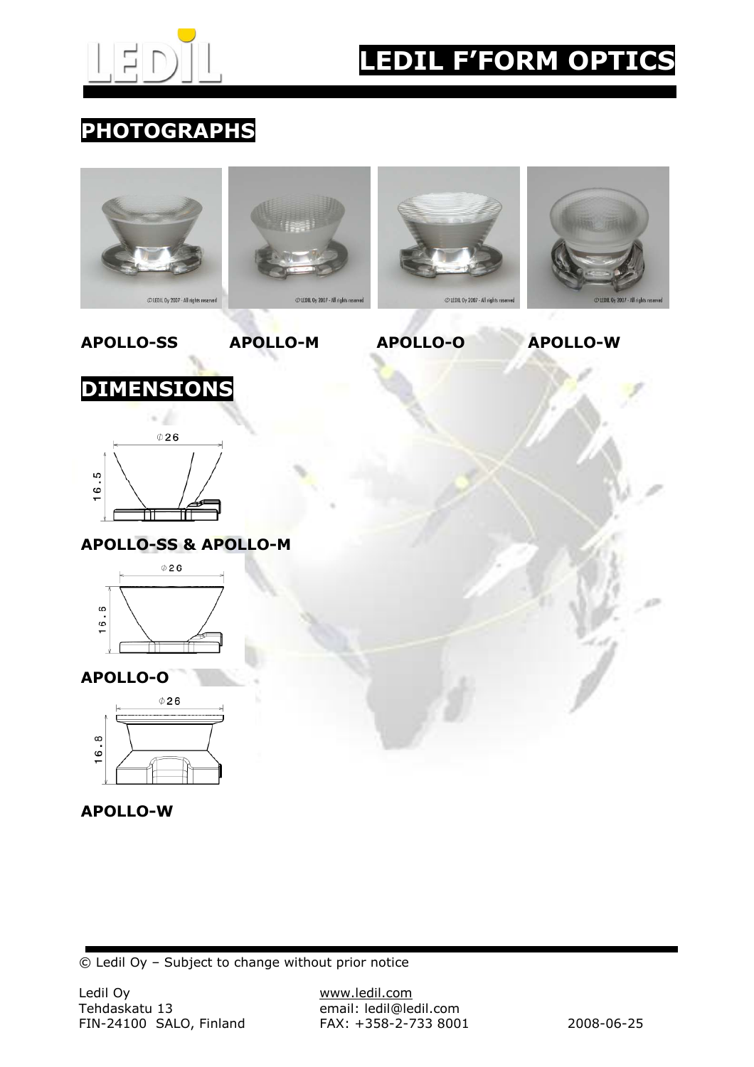

# LEDIL F'FORM OPTICS

#### PHOTOGRAPHS





© Ledil Oy – Subject to change without prior notice